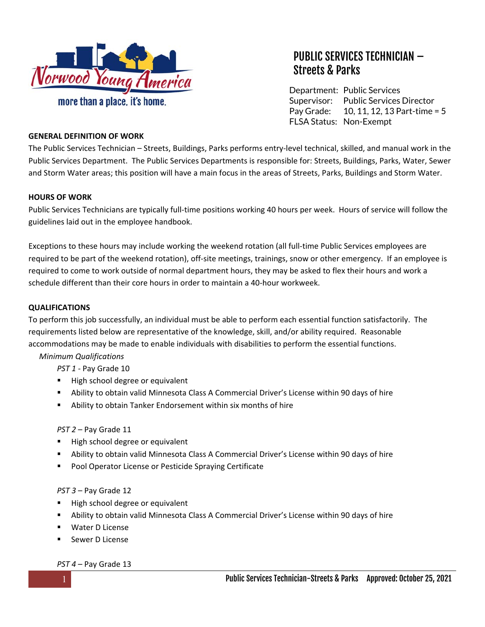

# PUBLIC SERVICES TECHNICIAN – Streets & Parks

Department: Public Services Supervisor: Public Services Director Pay Grade: FLSA Status: Non-Exempt 10, 11, 12, 13 Part-time = 5

#### **GENERAL DEFINITION OF WORK**

The Public Services Technician – Streets, Buildings, Parks performs entry‐level technical, skilled, and manual work in the Public Services Department. The Public Services Departments is responsible for: Streets, Buildings, Parks, Water, Sewer and Storm Water areas; this position will have a main focus in the areas of Streets, Parks, Buildings and Storm Water.

#### **HOURS OF WORK**

Public Services Technicians are typically full‐time positions working 40 hours per week. Hours of service will follow the guidelines laid out in the employee handbook.

Exceptions to these hours may include working the weekend rotation (all full‐time Public Services employees are required to be part of the weekend rotation), off-site meetings, trainings, snow or other emergency. If an employee is required to come to work outside of normal department hours, they may be asked to flex their hours and work a schedule different than their core hours in order to maintain a 40‐hour workweek.

#### **QUALIFICATIONS**

To perform this job successfully, an individual must be able to perform each essential function satisfactorily. The requirements listed below are representative of the knowledge, skill, and/or ability required. Reasonable accommodations may be made to enable individuals with disabilities to perform the essential functions.

# *Minimum Qualifications*

*PST 1 ‐* Pay Grade 10

- High school degree or equivalent
- Ability to obtain valid Minnesota Class A Commercial Driver's License within 90 days of hire
- Ability to obtain Tanker Endorsement within six months of hire

#### *PST 2* – Pay Grade 11

- High school degree or equivalent
- Ability to obtain valid Minnesota Class A Commercial Driver's License within 90 days of hire
- **Pool Operator License or Pesticide Spraying Certificate**

#### *PST 3* – Pay Grade 12

- High school degree or equivalent
- Ability to obtain valid Minnesota Class A Commercial Driver's License within 90 days of hire
- Water D License
- Sewer D License

#### *PST 4* – Pay Grade 13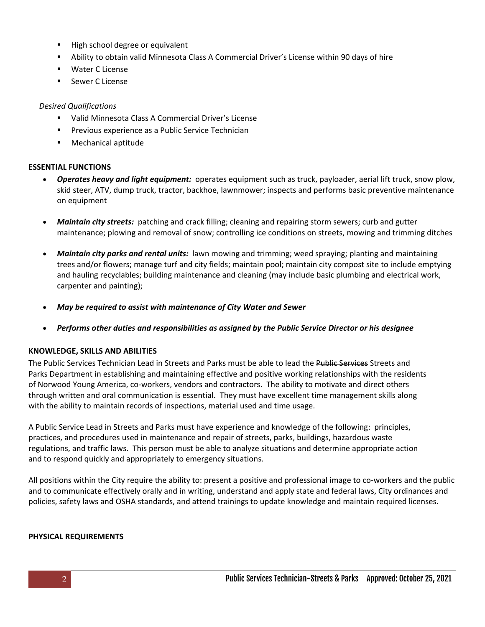- High school degree or equivalent
- Ability to obtain valid Minnesota Class A Commercial Driver's License within 90 days of hire
- Water C License
- **Sewer C License**

## *Desired Qualifications*

- Valid Minnesota Class A Commercial Driver's License
- **Previous experience as a Public Service Technician**
- Mechanical aptitude

## **ESSENTIAL FUNCTIONS**

- *Operates heavy and light equipment:* operates equipment such as truck, payloader, aerial lift truck, snow plow, skid steer, ATV, dump truck, tractor, backhoe, lawnmower; inspects and performs basic preventive maintenance on equipment
- Maintain city streets: patching and crack filling; cleaning and repairing storm sewers; curb and gutter maintenance; plowing and removal of snow; controlling ice conditions on streets, mowing and trimming ditches
- *Maintain city parks and rental units:* lawn mowing and trimming; weed spraying; planting and maintaining trees and/or flowers; manage turf and city fields; maintain pool; maintain city compost site to include emptying and hauling recyclables; building maintenance and cleaning (may include basic plumbing and electrical work, carpenter and painting);
- *May be required to assist with maintenance of City Water and Sewer*
- *Performs other duties and responsibilities as assigned by the Public Service Director or his designee*

# **KNOWLEDGE, SKILLS AND ABILITIES**

The Public Services Technician Lead in Streets and Parks must be able to lead the Public Services Streets and Parks Department in establishing and maintaining effective and positive working relationships with the residents of Norwood Young America, co‐workers, vendors and contractors. The ability to motivate and direct others through written and oral communication is essential. They must have excellent time management skills along with the ability to maintain records of inspections, material used and time usage.

A Public Service Lead in Streets and Parks must have experience and knowledge of the following: principles, practices, and procedures used in maintenance and repair of streets, parks, buildings, hazardous waste regulations, and traffic laws. This person must be able to analyze situations and determine appropriate action and to respond quickly and appropriately to emergency situations.

All positions within the City require the ability to: present a positive and professional image to co‐workers and the public and to communicate effectively orally and in writing, understand and apply state and federal laws, City ordinances and policies, safety laws and OSHA standards, and attend trainings to update knowledge and maintain required licenses.

# **PHYSICAL REQUIREMENTS**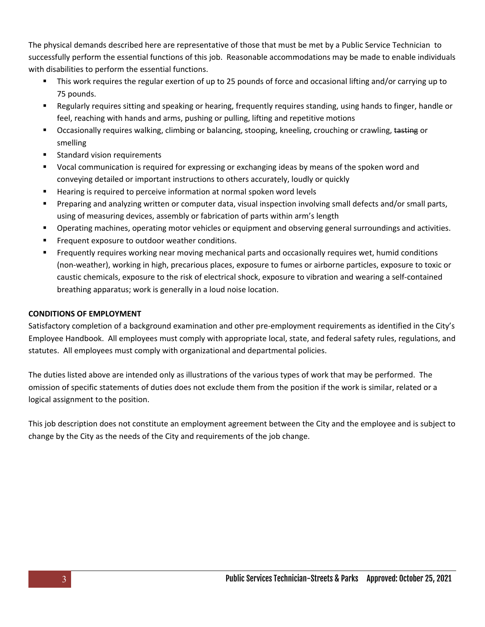The physical demands described here are representative of those that must be met by a Public Service Technician to successfully perform the essential functions of this job. Reasonable accommodations may be made to enable individuals with disabilities to perform the essential functions.

- This work requires the regular exertion of up to 25 pounds of force and occasional lifting and/or carrying up to 75 pounds.
- Regularly requires sitting and speaking or hearing, frequently requires standing, using hands to finger, handle or feel, reaching with hands and arms, pushing or pulling, lifting and repetitive motions
- **Decasionally requires walking, climbing or balancing, stooping, kneeling, crouching or crawling, tasting or** smelling
- Standard vision requirements
- Vocal communication is required for expressing or exchanging ideas by means of the spoken word and conveying detailed or important instructions to others accurately, loudly or quickly
- **Hearing is required to perceive information at normal spoken word levels**
- Preparing and analyzing written or computer data, visual inspection involving small defects and/or small parts, using of measuring devices, assembly or fabrication of parts within arm's length
- Operating machines, operating motor vehicles or equipment and observing general surroundings and activities.
- Frequent exposure to outdoor weather conditions.
- Frequently requires working near moving mechanical parts and occasionally requires wet, humid conditions (non‐weather), working in high, precarious places, exposure to fumes or airborne particles, exposure to toxic or caustic chemicals, exposure to the risk of electrical shock, exposure to vibration and wearing a self‐contained breathing apparatus; work is generally in a loud noise location.

## **CONDITIONS OF EMPLOYMENT**

Satisfactory completion of a background examination and other pre-employment requirements as identified in the City's Employee Handbook.All employees must comply with appropriate local, state, and federal safety rules, regulations, and statutes. All employees must comply with organizational and departmental policies.

The duties listed above are intended only as illustrations of the various types of work that may be performed. The omission of specific statements of duties does not exclude them from the position if the work is similar, related or a logical assignment to the position.

This job description does not constitute an employment agreement between the City and the employee and is subject to change by the City as the needs of the City and requirements of the job change.